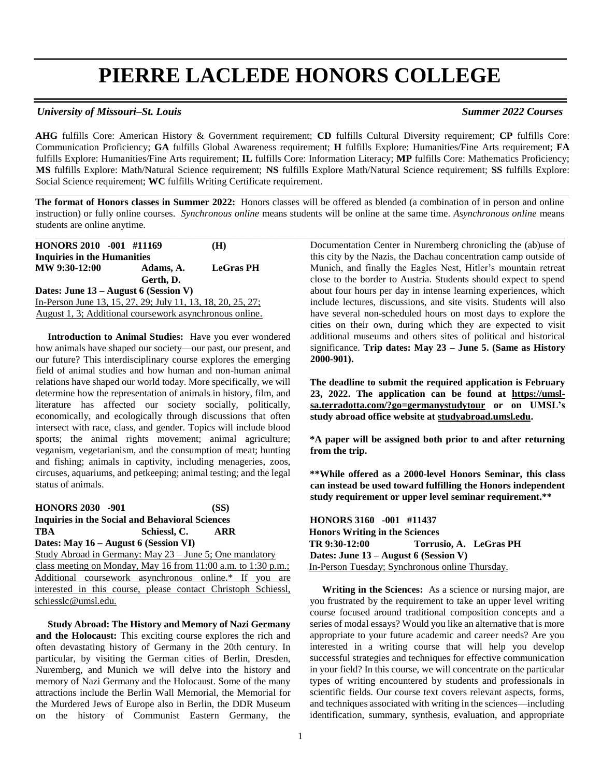# **PIERRE LACLEDE HONORS COLLEGE**

## *University of Missouri–St. Louis Summer 2022 Courses*

**AHG** fulfills Core: American History & Government requirement; **CD** fulfills Cultural Diversity requirement; **CP** fulfills Core: Communication Proficiency; **GA** fulfills Global Awareness requirement; **H** fulfills Explore: Humanities/Fine Arts requirement; **FA**  fulfills Explore: Humanities/Fine Arts requirement; **IL** fulfills Core: Information Literacy; **MP** fulfills Core: Mathematics Proficiency; **MS** fulfills Explore: Math/Natural Science requirement; **NS** fulfills Explore Math/Natural Science requirement; **SS** fulfills Explore: Social Science requirement; **WC** fulfills Writing Certificate requirement.

**The format of Honors classes in Summer 2022:** Honors classes will be offered as blended (a combination of in person and online instruction) or fully online courses. *Synchronous online* means students will be online at the same time. *Asynchronous online* means students are online anytime.

\_\_\_\_\_\_\_\_\_\_\_\_\_\_\_\_\_\_\_\_\_\_\_\_\_\_\_\_\_\_\_\_\_\_\_\_\_\_\_\_\_\_\_\_\_\_\_\_\_\_\_\_\_\_\_\_\_\_\_\_\_\_\_\_\_\_\_\_\_\_\_\_\_\_\_\_\_\_\_\_\_\_\_\_\_\_\_\_\_\_\_\_\_\_\_\_\_\_\_\_\_\_\_\_\_\_\_\_\_\_\_\_\_\_\_\_\_\_\_\_\_\_\_\_\_\_\_\_\_\_\_\_\_\_\_

\_\_\_\_\_\_\_\_\_\_\_\_\_\_\_\_\_\_\_\_\_\_\_\_\_\_\_\_\_\_\_\_\_\_\_\_\_\_\_\_\_\_\_\_\_\_\_\_\_\_\_\_\_\_\_\_\_\_\_\_\_\_\_\_\_\_\_\_\_\_\_\_\_\_\_\_\_\_\_\_\_\_\_\_\_\_\_\_\_\_\_\_\_\_\_\_\_\_\_\_\_\_\_\_\_\_\_\_\_\_\_\_\_\_\_\_\_\_\_\_\_\_\_\_\_\_\_\_\_\_\_\_\_\_\_\_

| HONORS 2010 -001 #11169                                     |           | (H)              |
|-------------------------------------------------------------|-----------|------------------|
| <b>Inquiries in the Humanities</b>                          |           |                  |
| MW 9:30-12:00                                               | Adams, A. | <b>LeGras PH</b> |
|                                                             | Gerth, D. |                  |
| Dates: June $13 -$ August 6 (Session V)                     |           |                  |
| In-Person June 13, 15, 27, 29; July 11, 13, 18, 20, 25, 27; |           |                  |
| August 1, 3; Additional coursework asynchronous online.     |           |                  |

 **Introduction to Animal Studies:** Have you ever wondered how animals have shaped our society—our past, our present, and our future? This interdisciplinary course explores the emerging field of animal studies and how human and non-human animal relations have shaped our world today. More specifically, we will determine how the representation of animals in history, film, and literature has affected our society socially, politically, economically, and ecologically through discussions that often intersect with race, class, and gender. Topics will include blood sports; the animal rights movement; animal agriculture; veganism, vegetarianism, and the consumption of meat; hunting and fishing; animals in captivity, including menageries, zoos, circuses, aquariums, and petkeeping; animal testing; and the legal status of animals.

**HONORS 2030 -901 (SS) Inquiries in the Social and Behavioral Sciences TBA Schiessl, C. ARR Dates: May 16 – August 6 (Session VI)** Study Abroad in Germany: May 23 – June 5; One mandatory class meeting on Monday, May 16 from 11:00 a.m. to 1:30 p.m.; Additional coursework asynchronous online.\* If you are interested in this course, please contact Christoph Schiessl, schiesslc@umsl.edu.

 **Study Abroad: The History and Memory of Nazi Germany and the Holocaust:** This exciting course explores the rich and often devastating history of Germany in the 20th century. In particular, by visiting the German cities of Berlin, Dresden, Nuremberg, and Munich we will delve into the history and memory of Nazi Germany and the Holocaust. Some of the many attractions include the Berlin Wall Memorial, the Memorial for the Murdered Jews of Europe also in Berlin, the DDR Museum on the history of Communist Eastern Germany, the Documentation Center in Nuremberg chronicling the (ab)use of this city by the Nazis, the Dachau concentration camp outside of Munich, and finally the Eagles Nest, Hitler's mountain retreat close to the border to Austria. Students should expect to spend about four hours per day in intense learning experiences, which include lectures, discussions, and site visits. Students will also have several non-scheduled hours on most days to explore the cities on their own, during which they are expected to visit additional museums and others sites of political and historical significance. **Trip dates: May 23 – June 5. (Same as History 2000-901).**

**The deadline to submit the required application is February 23, 2022. The application can be found at [https://umsl](https://nam02.safelinks.protection.outlook.com/?url=https%3A%2F%2Fumsl-sa.terradotta.com%2F%3Fgo%3Dgermanystudytour&data=04%7C01%7Caskaudri%40umsl.edu%7C057edbf326e64a1baae508d9ba9898bb%7Ce3fefdbef7e9401ba51a355e01b05a89%7C0%7C0%7C637745986830935582%7CUnknown%7CTWFpbGZsb3d8eyJWIjoiMC4wLjAwMDAiLCJQIjoiV2luMzIiLCJBTiI6Ik1haWwiLCJXVCI6Mn0%3D%7C3000&sdata=oP5EnAbTfQOys7Q7BDF27amU1X46HK61IgePYRguSZI%3D&reserved=0)[sa.terradotta.com/?go=germanystudytour](https://nam02.safelinks.protection.outlook.com/?url=https%3A%2F%2Fumsl-sa.terradotta.com%2F%3Fgo%3Dgermanystudytour&data=04%7C01%7Caskaudri%40umsl.edu%7C057edbf326e64a1baae508d9ba9898bb%7Ce3fefdbef7e9401ba51a355e01b05a89%7C0%7C0%7C637745986830935582%7CUnknown%7CTWFpbGZsb3d8eyJWIjoiMC4wLjAwMDAiLCJQIjoiV2luMzIiLCJBTiI6Ik1haWwiLCJXVCI6Mn0%3D%7C3000&sdata=oP5EnAbTfQOys7Q7BDF27amU1X46HK61IgePYRguSZI%3D&reserved=0) or on UMSL's study abroad office website at [studyabroad.umsl.edu.](file:///C:/Users/balduski/AppData/Local/Microsoft/Windows/INetCache/Content.Outlook/ROYZO0KO/studyabroad.umsl.edu)** 

**\*A paper will be assigned both prior to and after returning from the trip.** 

**\*\*While offered as a 2000-level Honors Seminar, this class can instead be used toward fulfilling the Honors independent study requirement or upper level seminar requirement.\*\***

**HONORS 3160 -001 #11437 Honors Writing in the Sciences TR 9:30-12:00 Torrusio, A. LeGras PH Dates: June 13 – August 6 (Session V)** In-Person Tuesday; Synchronous online Thursday.

 **Writing in the Sciences:** As a science or nursing major, are you frustrated by the requirement to take an upper level writing course focused around traditional composition concepts and a series of modal essays? Would you like an alternative that is more appropriate to your future academic and career needs? Are you interested in a writing course that will help you develop successful strategies and techniques for effective communication in your field? In this course, we will concentrate on the particular types of writing encountered by students and professionals in scientific fields. Our course text covers relevant aspects, forms, and techniques associated with writing in the sciences—including identification, summary, synthesis, evaluation, and appropriate